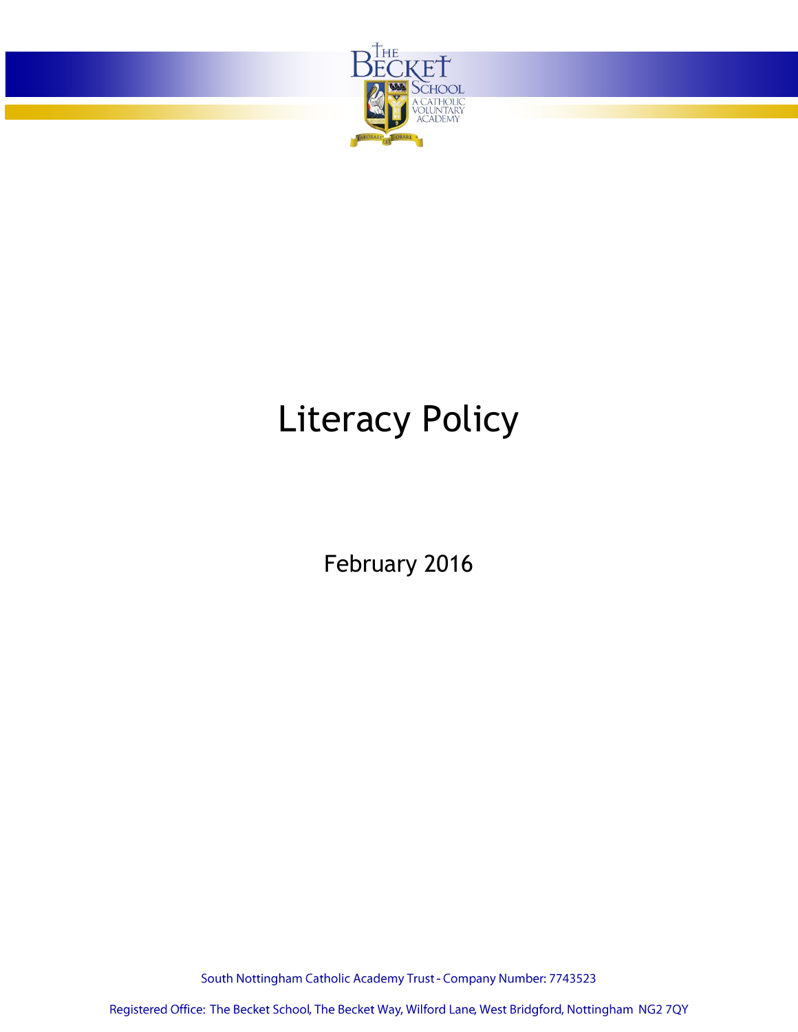

# Literacy Policy

February 2016

South Nottingham Catholic Academy Trust - Company Number: 7743523

Registered Office: The Becket School, The Becket Way, Wilford Lane, West Bridgford, Nottingham NG2 7QY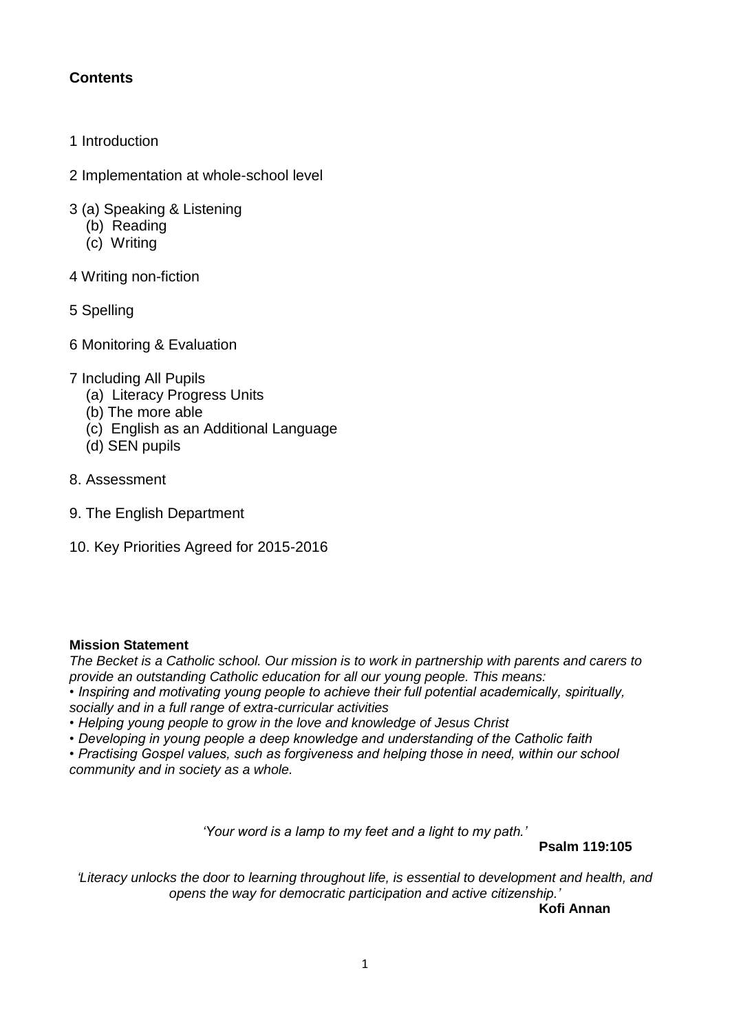# **Contents**

- 1 Introduction
- 2 Implementation at whole-school level
- 3 (a) Speaking & Listening
	- (b) Reading
	- (c) Writing
- 4 Writing non-fiction
- 5 Spelling
- 6 Monitoring & Evaluation
- 7 Including All Pupils
	- (a) Literacy Progress Units
	- (b) The more able
	- (c) English as an Additional Language
	- (d) SEN pupils
- 8. Assessment
- 9. The English Department
- 10. Key Priorities Agreed for 2015-2016

# **Mission Statement**

*The Becket is a Catholic school. Our mission is to work in partnership with parents and carers to provide an outstanding Catholic education for all our young people. This means: • Inspiring and motivating young people to achieve their full potential academically, spiritually, socially and in a full range of extra-curricular activities*

*• Helping young people to grow in the love and knowledge of Jesus Christ*

*• Developing in young people a deep knowledge and understanding of the Catholic faith*

*• Practising Gospel values, such as forgiveness and helping those in need, within our school community and in society as a whole.*

*'Your word is a lamp to my feet and a light to my path.'*

**Psalm 119:105**

*'Literacy unlocks the door to learning throughout life, is essential to development and health, and opens the way for democratic participation and active citizenship.'*

**[Kofi Annan](http://www.doonething.org/heroes/annan.htm)**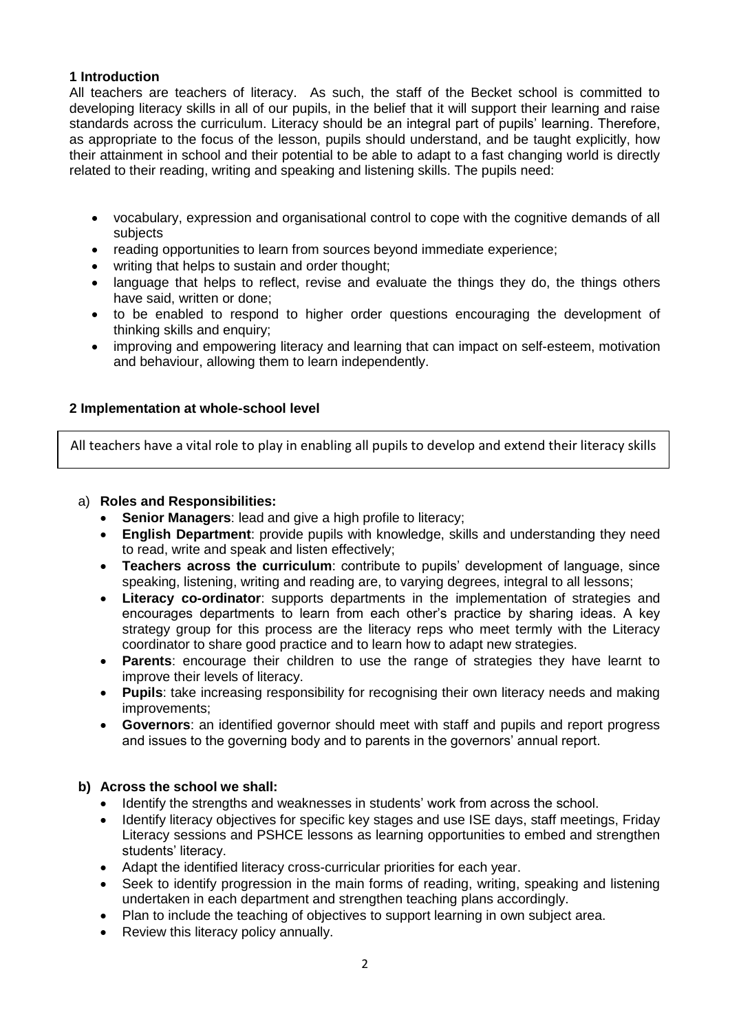# **1 Introduction**

All teachers are teachers of literacy. As such, the staff of the Becket school is committed to developing literacy skills in all of our pupils, in the belief that it will support their learning and raise standards across the curriculum. Literacy should be an integral part of pupils' learning. Therefore, as appropriate to the focus of the lesson, pupils should understand, and be taught explicitly, how their attainment in school and their potential to be able to adapt to a fast changing world is directly related to their reading, writing and speaking and listening skills. The pupils need:

- vocabulary, expression and organisational control to cope with the cognitive demands of all subjects
- reading opportunities to learn from sources beyond immediate experience;
- writing that helps to sustain and order thought;
- language that helps to reflect, revise and evaluate the things they do, the things others have said, written or done;
- to be enabled to respond to higher order questions encouraging the development of thinking skills and enquiry;
- improving and empowering literacy and learning that can impact on self-esteem, motivation and behaviour, allowing them to learn independently.

# **2 Implementation at whole-school level**

All teachers have a vital role to play in enabling all pupils to develop and extend their literacy skills

# a) **Roles and Responsibilities:**

- **Senior Managers**: lead and give a high profile to literacy;
- **English Department**: provide pupils with knowledge, skills and understanding they need to read, write and speak and listen effectively;
- **Teachers across the curriculum**: contribute to pupils' development of language, since speaking, listening, writing and reading are, to varying degrees, integral to all lessons;
- **Literacy co-ordinator**: supports departments in the implementation of strategies and encourages departments to learn from each other's practice by sharing ideas. A key strategy group for this process are the literacy reps who meet termly with the Literacy coordinator to share good practice and to learn how to adapt new strategies.
- **Parents**: encourage their children to use the range of strategies they have learnt to improve their levels of literacy.
- **Pupils**: take increasing responsibility for recognising their own literacy needs and making improvements;
- **Governors**: an identified governor should meet with staff and pupils and report progress and issues to the governing body and to parents in the governors' annual report.

# **b) Across the school we shall:**

- Identify the strengths and weaknesses in students' work from across the school.
- Identify literacy objectives for specific key stages and use ISE days, staff meetings, Friday Literacy sessions and PSHCE lessons as learning opportunities to embed and strengthen students' literacy.
- Adapt the identified literacy cross-curricular priorities for each year.
- Seek to identify progression in the main forms of reading, writing, speaking and listening undertaken in each department and strengthen teaching plans accordingly.
- Plan to include the teaching of objectives to support learning in own subject area.
- Review this literacy policy annually.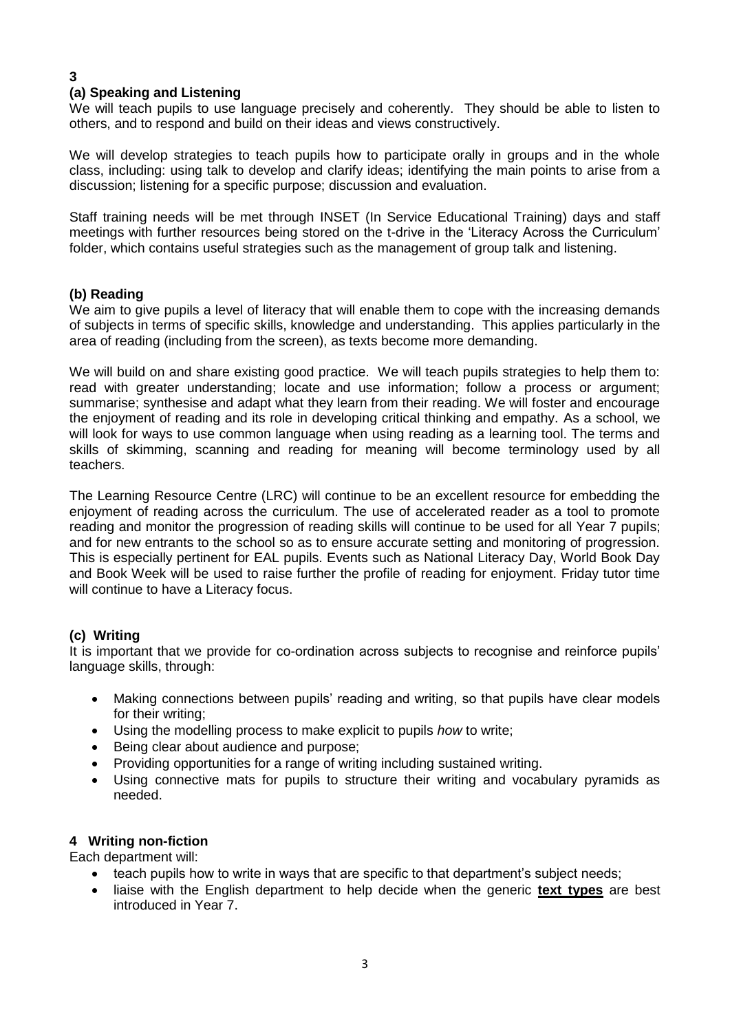#### **3 (a) Speaking and Listening**

We will teach pupils to use language precisely and coherently. They should be able to listen to others, and to respond and build on their ideas and views constructively.

We will develop strategies to teach pupils how to participate orally in groups and in the whole class, including: using talk to develop and clarify ideas; identifying the main points to arise from a discussion; listening for a specific purpose; discussion and evaluation.

Staff training needs will be met through INSET (In Service Educational Training) days and staff meetings with further resources being stored on the t-drive in the 'Literacy Across the Curriculum' folder, which contains useful strategies such as the management of group talk and listening.

# **(b) Reading**

We aim to give pupils a level of literacy that will enable them to cope with the increasing demands of subjects in terms of specific skills, knowledge and understanding. This applies particularly in the area of reading (including from the screen), as texts become more demanding.

We will build on and share existing good practice. We will teach pupils strategies to help them to: read with greater understanding; locate and use information; follow a process or argument; summarise; synthesise and adapt what they learn from their reading. We will foster and encourage the enjoyment of reading and its role in developing critical thinking and empathy. As a school, we will look for ways to use common language when using reading as a learning tool. The terms and skills of skimming, scanning and reading for meaning will become terminology used by all teachers.

The Learning Resource Centre (LRC) will continue to be an excellent resource for embedding the enjoyment of reading across the curriculum. The use of accelerated reader as a tool to promote reading and monitor the progression of reading skills will continue to be used for all Year 7 pupils; and for new entrants to the school so as to ensure accurate setting and monitoring of progression. This is especially pertinent for EAL pupils. Events such as National Literacy Day, World Book Day and Book Week will be used to raise further the profile of reading for enjoyment. Friday tutor time will continue to have a Literacy focus.

# **(c) Writing**

It is important that we provide for co-ordination across subjects to recognise and reinforce pupils' language skills, through:

- Making connections between pupils' reading and writing, so that pupils have clear models for their writing;
- Using the modelling process to make explicit to pupils *how* to write;
- Being clear about audience and purpose;
- Providing opportunities for a range of writing including sustained writing.
- Using connective mats for pupils to structure their writing and vocabulary pyramids as needed.

# **4 Writing non-fiction**

Each department will:

- teach pupils how to write in ways that are specific to that department's subject needs;
- liaise with the English department to help decide when the generic **text types** are best introduced in Year 7.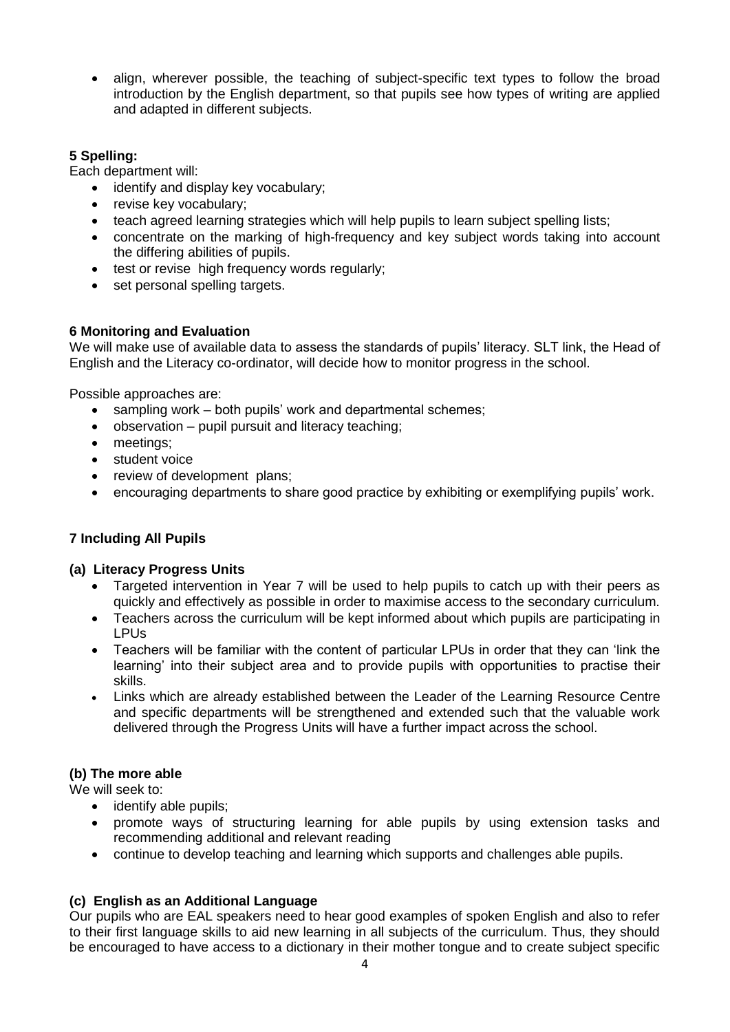• align, wherever possible, the teaching of subject-specific text types to follow the broad introduction by the English department, so that pupils see how types of writing are applied and adapted in different subjects.

# **5 Spelling:**

Each department will:

- identify and display key vocabulary:
- revise key vocabulary;
- teach agreed learning strategies which will help pupils to learn subject spelling lists;
- concentrate on the marking of high-frequency and key subiect words taking into account the differing abilities of pupils.
- test or revise high frequency words regularly;
- set personal spelling targets.

# **6 Monitoring and Evaluation**

We will make use of available data to assess the standards of pupils' literacy. SLT link, the Head of English and the Literacy co-ordinator, will decide how to monitor progress in the school.

Possible approaches are:

- sampling work both pupils' work and departmental schemes:
- observation pupil pursuit and literacy teaching;
- meetings;
- student voice
- review of development plans;
- encouraging departments to share good practice by exhibiting or exemplifying pupils' work.

# **7 Including All Pupils**

# **(a) Literacy Progress Units**

- Targeted intervention in Year 7 will be used to help pupils to catch up with their peers as quickly and effectively as possible in order to maximise access to the secondary curriculum.
- Teachers across the curriculum will be kept informed about which pupils are participating in LPUs
- Teachers will be familiar with the content of particular LPUs in order that they can 'link the learning' into their subject area and to provide pupils with opportunities to practise their skills.
- Links which are already established between the Leader of the Learning Resource Centre and specific departments will be strengthened and extended such that the valuable work delivered through the Progress Units will have a further impact across the school.

# **(b) The more able**

We will seek to:

- identify able pupils;
- promote ways of structuring learning for able pupils by using extension tasks and recommending additional and relevant reading
- continue to develop teaching and learning which supports and challenges able pupils.

# **(c) English as an Additional Language**

Our pupils who are EAL speakers need to hear good examples of spoken English and also to refer to their first language skills to aid new learning in all subjects of the curriculum. Thus, they should be encouraged to have access to a dictionary in their mother tongue and to create subject specific